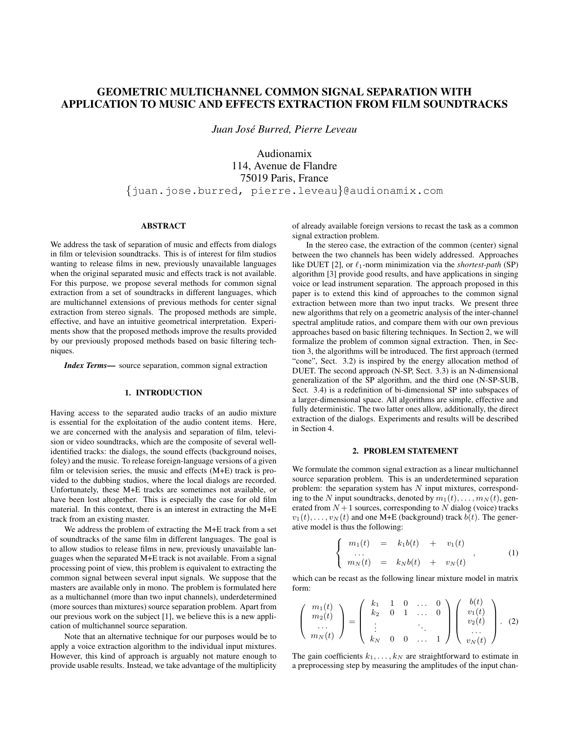# GEOMETRIC MULTICHANNEL COMMON SIGNAL SEPARATION WITH APPLICATION TO MUSIC AND EFFECTS EXTRACTION FROM FILM SOUNDTRACKS

*Juan Jose Burred, Pierre Leveau ´*

Audionamix 114, Avenue de Flandre 75019 Paris, France {juan.jose.burred, pierre.leveau}@audionamix.com

## ABSTRACT

We address the task of separation of music and effects from dialogs in film or television soundtracks. This is of interest for film studios wanting to release films in new, previously unavailable languages when the original separated music and effects track is not available. For this purpose, we propose several methods for common signal extraction from a set of soundtracks in different languages, which are multichannel extensions of previous methods for center signal extraction from stereo signals. The proposed methods are simple, effective, and have an intuitive geometrical interpretation. Experiments show that the proposed methods improve the results provided by our previously proposed methods based on basic filtering techniques.

*Index Terms*— source separation, common signal extraction

# 1. INTRODUCTION

Having access to the separated audio tracks of an audio mixture is essential for the exploitation of the audio content items. Here, we are concerned with the analysis and separation of film, television or video soundtracks, which are the composite of several wellidentified tracks: the dialogs, the sound effects (background noises, foley) and the music. To release foreign-language versions of a given film or television series, the music and effects (M+E) track is provided to the dubbing studios, where the local dialogs are recorded. Unfortunately, these M+E tracks are sometimes not available, or have been lost altogether. This is especially the case for old film material. In this context, there is an interest in extracting the M+E track from an existing master.

We address the problem of extracting the M+E track from a set of soundtracks of the same film in different languages. The goal is to allow studios to release films in new, previously unavailable languages when the separated M+E track is not available. From a signal processing point of view, this problem is equivalent to extracting the common signal between several input signals. We suppose that the masters are available only in mono. The problem is formulated here as a multichannel (more than two input channels), underdetermined (more sources than mixtures) source separation problem. Apart from our previous work on the subject [1], we believe this is a new application of multichannel source separation.

Note that an alternative technique for our purposes would be to apply a voice extraction algorithm to the individual input mixtures. However, this kind of approach is arguably not mature enough to provide usable results. Instead, we take advantage of the multiplicity

of already available foreign versions to recast the task as a common signal extraction problem.

In the stereo case, the extraction of the common (center) signal between the two channels has been widely addressed. Approaches like DUET [2], or  $\ell_1$ -norm minimization via the *shortest-path* (SP) algorithm [3] provide good results, and have applications in singing voice or lead instrument separation. The approach proposed in this paper is to extend this kind of approaches to the common signal extraction between more than two input tracks. We present three new algorithms that rely on a geometric analysis of the inter-channel spectral amplitude ratios, and compare them with our own previous approaches based on basic filtering techniques. In Section 2, we will formalize the problem of common signal extraction. Then, in Section 3, the algorithms will be introduced. The first approach (termed "cone", Sect. 3.2) is inspired by the energy allocation method of DUET. The second approach (N-SP, Sect. 3.3) is an N-dimensional generalization of the SP algorithm, and the third one (N-SP-SUB, Sect. 3.4) is a redefinition of bi-dimensional SP into subspaces of a larger-dimensional space. All algorithms are simple, effective and fully deterministic. The two latter ones allow, additionally, the direct extraction of the dialogs. Experiments and results will be described in Section 4.

#### 2. PROBLEM STATEMENT

We formulate the common signal extraction as a linear multichannel source separation problem. This is an underdetermined separation problem: the separation system has  $N$  input mixtures, corresponding to the N input soundtracks, denoted by  $m_1(t), \ldots, m_N(t)$ , generated from  $N+1$  sources, corresponding to N dialog (voice) tracks  $v_1(t), \ldots, v_N(t)$  and one M+E (background) track  $b(t)$ . The generative model is thus the following:

$$
\begin{cases}\n m_1(t) & = k_1 b(t) + v_1(t) \\
 \dots \\
 m_N(t) & = k_N b(t) + v_N(t)\n\end{cases}
$$
\n(1)

which can be recast as the following linear mixture model in matrix form:

$$
\left(\begin{array}{c}m_1(t)\\m_2(t)\\ \cdots\\m_N(t)\end{array}\right)=\left(\begin{array}{cccc}k_1 & 1 & 0 & \cdots & 0\\k_2 & 0 & 1 & \cdots & 0\\ \vdots & & & \ddots & \\k_N & 0 & 0 & \cdots & 1\end{array}\right)\left(\begin{array}{c}b(t)\\v_1(t)\\v_2(t)\\ \cdots\\v_N(t)\end{array}\right).
$$
 (2)

The gain coefficients  $k_1, \ldots, k_N$  are straightforward to estimate in a preprocessing step by measuring the amplitudes of the input chan-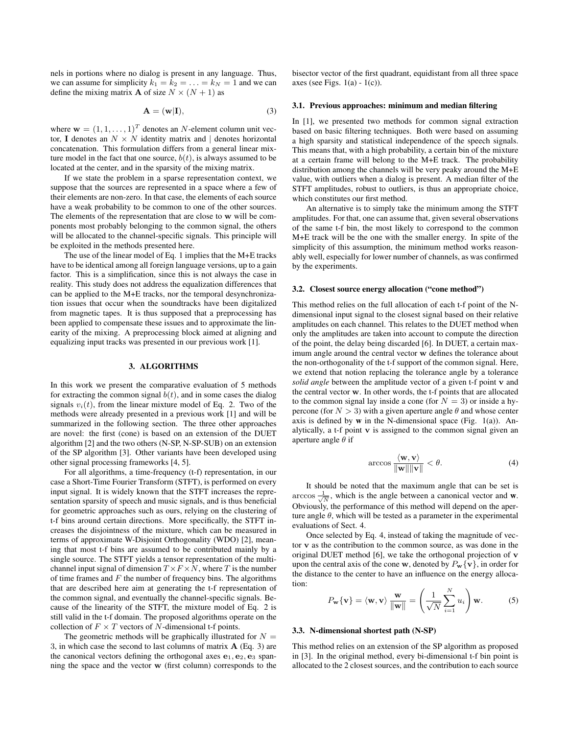nels in portions where no dialog is present in any language. Thus, we can assume for simplicity  $k_1 = k_2 = \ldots = k_N = 1$  and we can define the mixing matrix **A** of size  $N \times (N + 1)$  as

$$
\mathbf{A} = (\mathbf{w}|\mathbf{I}),\tag{3}
$$

where  $\mathbf{w} = (1, 1, \dots, 1)^T$  denotes an N-element column unit vector, I denotes an  $N \times N$  identity matrix and | denotes horizontal concatenation. This formulation differs from a general linear mixture model in the fact that one source,  $b(t)$ , is always assumed to be located at the center, and in the sparsity of the mixing matrix.

If we state the problem in a sparse representation context, we suppose that the sources are represented in a space where a few of their elements are non-zero. In that case, the elements of each source have a weak probability to be common to one of the other sources. The elements of the representation that are close to w will be components most probably belonging to the common signal, the others will be allocated to the channel-specific signals. This principle will be exploited in the methods presented here.

The use of the linear model of Eq. 1 implies that the M+E tracks have to be identical among all foreign language versions, up to a gain factor. This is a simplification, since this is not always the case in reality. This study does not address the equalization differences that can be applied to the M+E tracks, nor the temporal desynchronization issues that occur when the soundtracks have been digitalized from magnetic tapes. It is thus supposed that a preprocessing has been applied to compensate these issues and to approximate the linearity of the mixing. A preprocessing block aimed at aligning and equalizing input tracks was presented in our previous work [1].

# 3. ALGORITHMS

In this work we present the comparative evaluation of 5 methods for extracting the common signal  $b(t)$ , and in some cases the dialog signals  $v_i(t)$ , from the linear mixture model of Eq. 2. Two of the methods were already presented in a previous work [1] and will be summarized in the following section. The three other approaches are novel: the first (cone) is based on an extension of the DUET algorithm [2] and the two others (N-SP, N-SP-SUB) on an extension of the SP algorithm [3]. Other variants have been developed using other signal processing frameworks [4, 5].

For all algorithms, a time-frequency (t-f) representation, in our case a Short-Time Fourier Transform (STFT), is performed on every input signal. It is widely known that the STFT increases the representation sparsity of speech and music signals, and is thus beneficial for geometric approaches such as ours, relying on the clustering of t-f bins around certain directions. More specifically, the STFT increases the disjointness of the mixture, which can be measured in terms of approximate W-Disjoint Orthogonality (WDO) [2], meaning that most t-f bins are assumed to be contributed mainly by a single source. The STFT yields a tensor representation of the multichannel input signal of dimension  $T \times F \times N$ , where T is the number of time frames and  $F$  the number of frequency bins. The algorithms that are described here aim at generating the t-f representation of the common signal, and eventually the channel-specific signals. Because of the linearity of the STFT, the mixture model of Eq. 2 is still valid in the t-f domain. The proposed algorithms operate on the collection of  $F\times T$  vectors of  $N$  -dimensional t-f points.

The geometric methods will be graphically illustrated for  $N =$ 3, in which case the second to last columns of matrix A (Eq. 3) are the canonical vectors defining the orthogonal axes  $e_1, e_2, e_3$  spanning the space and the vector w (first column) corresponds to the

bisector vector of the first quadrant, equidistant from all three space axes (see Figs.  $1(a) - 1(c)$ ).

# 3.1. Previous approaches: minimum and median filtering

In [1], we presented two methods for common signal extraction based on basic filtering techniques. Both were based on assuming a high sparsity and statistical independence of the speech signals. This means that, with a high probability, a certain bin of the mixture at a certain frame will belong to the M+E track. The probability distribution among the channels will be very peaky around the M+E value, with outliers when a dialog is present. A median filter of the STFT amplitudes, robust to outliers, is thus an appropriate choice, which constitutes our first method.

An alternative is to simply take the minimum among the STFT amplitudes. For that, one can assume that, given several observations of the same t-f bin, the most likely to correspond to the common M+E track will be the one with the smaller energy. In spite of the simplicity of this assumption, the minimum method works reasonably well, especially for lower number of channels, as was confirmed by the experiments.

## 3.2. Closest source energy allocation ("cone method")

This method relies on the full allocation of each t-f point of the Ndimensional input signal to the closest signal based on their relative amplitudes on each channel. This relates to the DUET method when only the amplitudes are taken into account to compute the direction of the point, the delay being discarded [6]. In DUET, a certain maximum angle around the central vector w defines the tolerance about the non-orthogonality of the t-f support of the common signal. Here, we extend that notion replacing the tolerance angle by a tolerance *solid angle* between the amplitude vector of a given t-f point v and the central vector w. In other words, the t-f points that are allocated to the common signal lay inside a cone (for  $N = 3$ ) or inside a hypercone (for  $N > 3$ ) with a given aperture angle  $\theta$  and whose center axis is defined by  $w$  in the N-dimensional space (Fig. 1(a)). Analytically, a t-f point  $\bf{v}$  is assigned to the common signal given an aperture angle  $\theta$  if

$$
\arccos\frac{\langle \mathbf{w}, \mathbf{v} \rangle}{\|\mathbf{w}\| \|\mathbf{v}\|} < \theta. \tag{4}
$$

It should be noted that the maximum angle that can be set is  $\arccos \frac{1}{\sqrt{N}}$ , which is the angle between a canonical vector and w. Obviously, the performance of this method will depend on the aperture angle  $\theta$ , which will be tested as a parameter in the experimental evaluations of Sect. 4.

Once selected by Eq. 4, instead of taking the magnitude of vector v as the contribution to the common source, as was done in the original DUET method [6], we take the orthogonal projection of v upon the central axis of the cone w, denoted by  $P_w\{v\}$ , in order for the distance to the center to have an influence on the energy allocation:

$$
P_{\mathbf{w}}\{\mathbf{v}\} = \langle \mathbf{w}, \mathbf{v} \rangle \frac{\mathbf{w}}{\|\mathbf{w}\|} = \left(\frac{1}{\sqrt{N}} \sum_{i=1}^{N} u_i\right) \mathbf{w}.
$$
 (5)

#### 3.3. N-dimensional shortest path (N-SP)

This method relies on an extension of the SP algorithm as proposed in [3]. In the original method, every bi-dimensional t-f bin point is allocated to the 2 closest sources, and the contribution to each source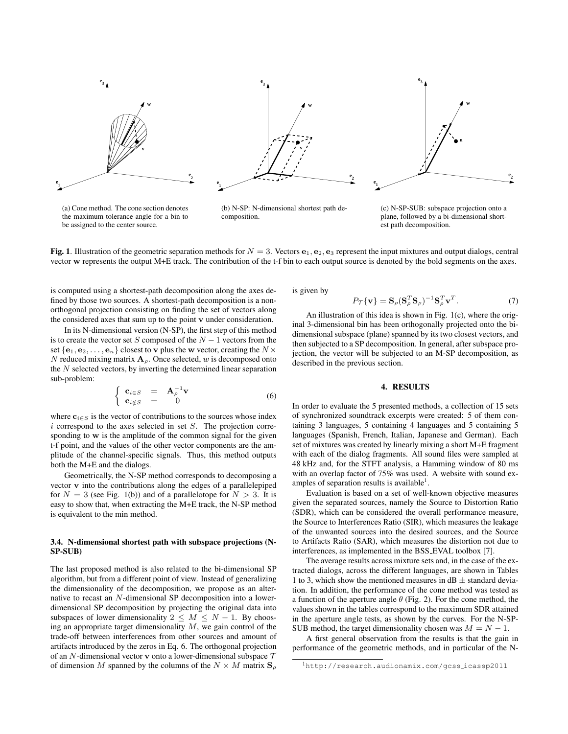

(a) Cone method. The cone section denotes the maximum tolerance angle for a bin to be assigned to the center source.

(b) N-SP: N-dimensional shortest path decomposition.

(c) N-SP-SUB: subspace projection onto a plane, followed by a bi-dimensional shortest path decomposition.

Fig. 1. Illustration of the geometric separation methods for  $N = 3$ . Vectors  $e_1, e_2, e_3$  represent the input mixtures and output dialogs, central vector w represents the output M+E track. The contribution of the t-f bin to each output source is denoted by the bold segments on the axes.

is computed using a shortest-path decomposition along the axes defined by those two sources. A shortest-path decomposition is a nonorthogonal projection consisting on finding the set of vectors along the considered axes that sum up to the point v under consideration.

In its N-dimensional version (N-SP), the first step of this method is to create the vector set S composed of the  $N-1$  vectors from the set  $\{e_1, e_2, \ldots, e_n\}$  closest to v plus the w vector, creating the  $N \times$ N reduced mixing matrix  $A_{\rho}$ . Once selected, w is decomposed onto the  $N$  selected vectors, by inverting the determined linear separation sub-problem:

$$
\begin{cases}\n\mathbf{c}_{i \in S} = \mathbf{A}_{\rho}^{-1} \mathbf{v} \\
\mathbf{c}_{i \notin S} = 0\n\end{cases}
$$
\n(6)

where  $c_{i \in S}$  is the vector of contributions to the sources whose index  $i$  correspond to the axes selected in set  $S$ . The projection corresponding to w is the amplitude of the common signal for the given t-f point, and the values of the other vector components are the amplitude of the channel-specific signals. Thus, this method outputs both the M+E and the dialogs.

Geometrically, the N-SP method corresponds to decomposing a vector v into the contributions along the edges of a parallelepiped for  $N = 3$  (see Fig. 1(b)) and of a parallelotope for  $N > 3$ . It is easy to show that, when extracting the M+E track, the N-SP method is equivalent to the min method.

#### 3.4. N-dimensional shortest path with subspace projections (N-SP-SUB)

The last proposed method is also related to the bi-dimensional SP algorithm, but from a different point of view. Instead of generalizing the dimensionality of the decomposition, we propose as an alternative to recast an N-dimensional SP decomposition into a lowerdimensional SP decomposition by projecting the original data into subspaces of lower dimensionality  $2 \leq M \leq N - 1$ . By choosing an appropriate target dimensionality  $M$ , we gain control of the trade-off between interferences from other sources and amount of artifacts introduced by the zeros in Eq. 6. The orthogonal projection of an N-dimensional vector **v** onto a lower-dimensional subspace  $T$ of dimension M spanned by the columns of the  $N \times M$  matrix  $S_{\rho}$ 

is given by

$$
P_{\mathcal{T}}\{\mathbf{v}\} = \mathbf{S}_{\rho}(\mathbf{S}_{\rho}^{T}\mathbf{S}_{\rho})^{-1}\mathbf{S}_{\rho}^{T}\mathbf{v}^{T}.
$$
 (7)

An illustration of this idea is shown in Fig. 1(c), where the original 3-dimensional bin has been orthogonally projected onto the bidimensional subspace (plane) spanned by its two closest vectors, and then subjected to a SP decomposition. In general, after subspace projection, the vector will be subjected to an M-SP decomposition, as described in the previous section.

## 4. RESULTS

In order to evaluate the 5 presented methods, a collection of 15 sets of synchronized soundtrack excerpts were created: 5 of them containing 3 languages, 5 containing 4 languages and 5 containing 5 languages (Spanish, French, Italian, Japanese and German). Each set of mixtures was created by linearly mixing a short M+E fragment with each of the dialog fragments. All sound files were sampled at 48 kHz and, for the STFT analysis, a Hamming window of 80 ms with an overlap factor of 75% was used. A website with sound examples of separation results is available<sup>1</sup>.

Evaluation is based on a set of well-known objective measures given the separated sources, namely the Source to Distortion Ratio (SDR), which can be considered the overall performance measure, the Source to Interferences Ratio (SIR), which measures the leakage of the unwanted sources into the desired sources, and the Source to Artifacts Ratio (SAR), which measures the distortion not due to interferences, as implemented in the BSS EVAL toolbox [7].

The average results across mixture sets and, in the case of the extracted dialogs, across the different languages, are shown in Tables 1 to 3, which show the mentioned measures in  $dB \pm$  standard deviation. In addition, the performance of the cone method was tested as a function of the aperture angle  $\theta$  (Fig. 2). For the cone method, the values shown in the tables correspond to the maximum SDR attained in the aperture angle tests, as shown by the curves. For the N-SP-SUB method, the target dimensionality chosen was  $M = N - 1$ .

A first general observation from the results is that the gain in performance of the geometric methods, and in particular of the N-

<sup>1</sup>http://research.audionamix.com/gcss icassp2011